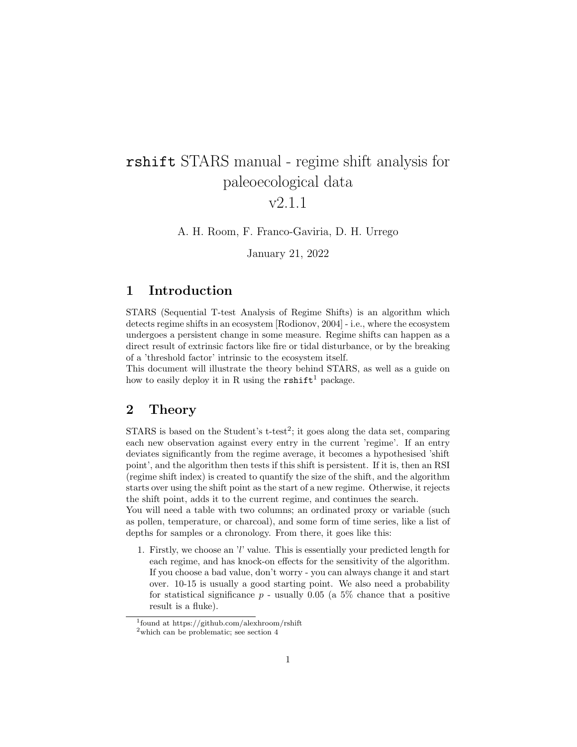# rshift STARS manual - regime shift analysis for paleoecological data

# v2.1.1

A. H. Room, F. Franco-Gaviria, D. H. Urrego

January 21, 2022

## 1 Introduction

STARS (Sequential T-test Analysis of Regime Shifts) is an algorithm which detects regime shifts in an ecosystem [Rodionov, 2004] - i.e., where the ecosystem undergoes a persistent change in some measure. Regime shifts can happen as a direct result of extrinsic factors like fire or tidal disturbance, or by the breaking of a 'threshold factor' intrinsic to the ecosystem itself.

This document will illustrate the theory behind STARS, as well as a guide on how to easily deploy it in R using the  $\text{rshift}^1$  package.

#### 2 Theory

STARS is based on the Student's t-test<sup>2</sup>; it goes along the data set, comparing each new observation against every entry in the current 'regime'. If an entry deviates significantly from the regime average, it becomes a hypothesised 'shift point', and the algorithm then tests if this shift is persistent. If it is, then an RSI (regime shift index) is created to quantify the size of the shift, and the algorithm starts over using the shift point as the start of a new regime. Otherwise, it rejects the shift point, adds it to the current regime, and continues the search.

You will need a table with two columns; an ordinated proxy or variable (such as pollen, temperature, or charcoal), and some form of time series, like a list of depths for samples or a chronology. From there, it goes like this:

1. Firstly, we choose an 'l' value. This is essentially your predicted length for each regime, and has knock-on effects for the sensitivity of the algorithm. If you choose a bad value, don't worry - you can always change it and start over. 10-15 is usually a good starting point. We also need a probability for statistical significance  $p$  - usually 0.05 (a 5% chance that a positive result is a fluke).

<sup>1</sup> found at https://github.com/alexhroom/rshift

 $^{2}$ which can be problematic; see section 4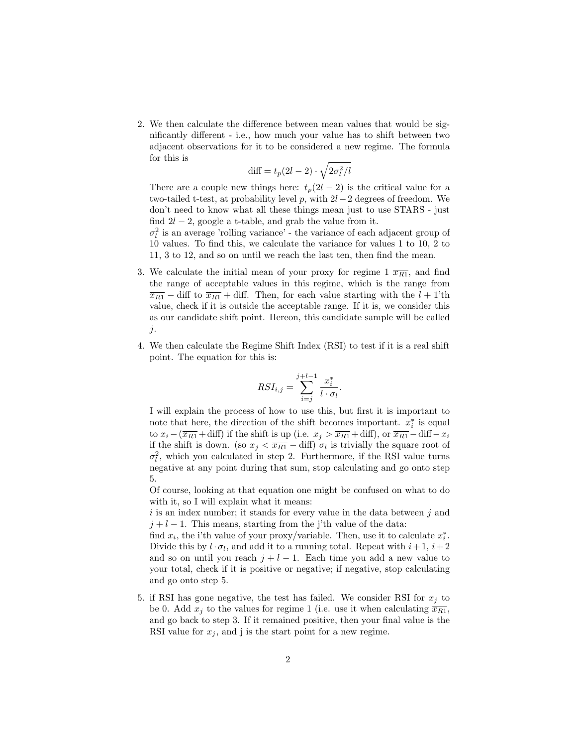2. We then calculate the difference between mean values that would be significantly different - i.e., how much your value has to shift between two adjacent observations for it to be considered a new regime. The formula for this is

$$
\text{diff} = t_p(2l-2) \cdot \sqrt{2\sigma_l^2/l}
$$

There are a couple new things here:  $t_p(2l-2)$  is the critical value for a two-tailed t-test, at probability level p, with  $2l-2$  degrees of freedom. We don't need to know what all these things mean just to use STARS - just find  $2l - 2$ , google a t-table, and grab the value from it.

 $\sigma_l^2$  is an average 'rolling variance' - the variance of each adjacent group of 10 values. To find this, we calculate the variance for values 1 to 10, 2 to 11, 3 to 12, and so on until we reach the last ten, then find the mean.

- 3. We calculate the initial mean of your proxy for regime  $1 \overline{x_{R1}}$ , and find the range of acceptable values in this regime, which is the range from  $\overline{x_{R1}}$  – diff to  $\overline{x_{R1}}$  + diff. Then, for each value starting with the  $l + 1$ 'th value, check if it is outside the acceptable range. If it is, we consider this as our candidate shift point. Hereon, this candidate sample will be called  $j$ .
- 4. We then calculate the Regime Shift Index (RSI) to test if it is a real shift point. The equation for this is:

$$
RSI_{i,j} = \sum_{i=j}^{j+l-1} \frac{x_i^*}{l \cdot \sigma_l}.
$$

I will explain the process of how to use this, but first it is important to note that here, the direction of the shift becomes important.  $x_i^*$  is equal to  $x_i - (\overline{x_{R1}} + \text{diff})$  if the shift is up (i.e.  $x_j > \overline{x_{R1}} + \text{diff}$ ), or  $\overline{x_{R1}} - \text{diff} - x_i$ if the shift is down. (so  $x_j < \overline{x_{R1}} - \text{diff}$ )  $\sigma_l$  is trivially the square root of  $\sigma_l^2$ , which you calculated in step 2. Furthermore, if the RSI value turns negative at any point during that sum, stop calculating and go onto step 5.

Of course, looking at that equation one might be confused on what to do with it, so I will explain what it means:

 $i$  is an index number; it stands for every value in the data between  $j$  and  $j + l - 1$ . This means, starting from the j'th value of the data:

find  $x_i$ , the i'th value of your proxy/variable. Then, use it to calculate  $x_i^*$ . Divide this by  $l \cdot \sigma_l$ , and add it to a running total. Repeat with  $i+1$ ,  $i+2$ and so on until you reach  $j + l - 1$ . Each time you add a new value to your total, check if it is positive or negative; if negative, stop calculating and go onto step 5.

5. if RSI has gone negative, the test has failed. We consider RSI for  $x_j$  to be 0. Add  $x_i$  to the values for regime 1 (i.e. use it when calculating  $\overline{x_{R1}}$ , and go back to step 3. If it remained positive, then your final value is the RSI value for  $x_j$ , and j is the start point for a new regime.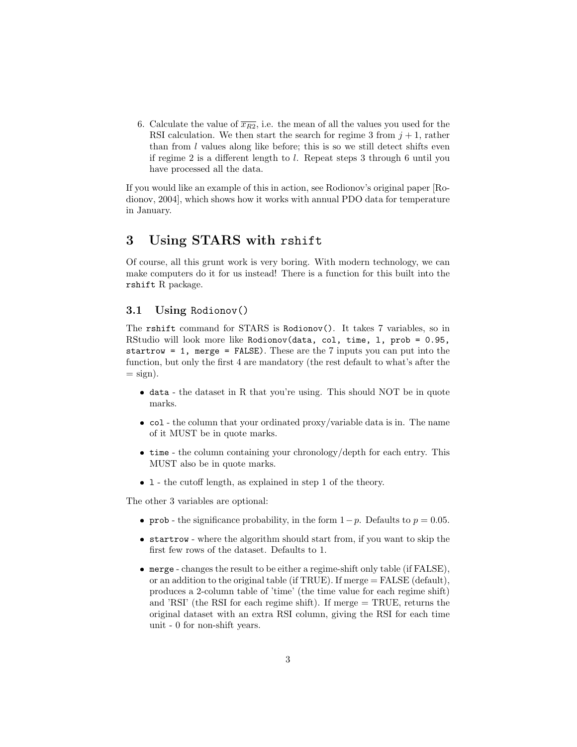6. Calculate the value of  $\overline{x_{R2}}$ , i.e. the mean of all the values you used for the RSI calculation. We then start the search for regime 3 from  $j + 1$ , rather than from  $l$  values along like before; this is so we still detect shifts even if regime 2 is a different length to l. Repeat steps 3 through 6 until you have processed all the data.

If you would like an example of this in action, see Rodionov's original paper [Rodionov, 2004], which shows how it works with annual PDO data for temperature in January.

#### 3 Using STARS with rshift

Of course, all this grunt work is very boring. With modern technology, we can make computers do it for us instead! There is a function for this built into the rshift R package.

#### 3.1 Using Rodionov()

The rshift command for STARS is Rodionov(). It takes 7 variables, so in RStudio will look more like Rodionov(data, col, time, l, prob = 0.95, startrow = 1, merge = FALSE). These are the 7 inputs you can put into the function, but only the first 4 are mandatory (the rest default to what's after the  $=$  sign).

- data the dataset in R that you're using. This should NOT be in quote marks.
- col the column that your ordinated proxy/variable data is in. The name of it MUST be in quote marks.
- time the column containing your chronology/depth for each entry. This MUST also be in quote marks.
- l the cutoff length, as explained in step 1 of the theory.

The other 3 variables are optional:

- prob the significance probability, in the form  $1-p$ . Defaults to  $p = 0.05$ .
- startrow where the algorithm should start from, if you want to skip the first few rows of the dataset. Defaults to 1.
- merge changes the result to be either a regime-shift only table (if FALSE), or an addition to the original table (if TRUE). If merge = FALSE (default), produces a 2-column table of 'time' (the time value for each regime shift) and 'RSI' (the RSI for each regime shift). If merge = TRUE, returns the original dataset with an extra RSI column, giving the RSI for each time unit - 0 for non-shift years.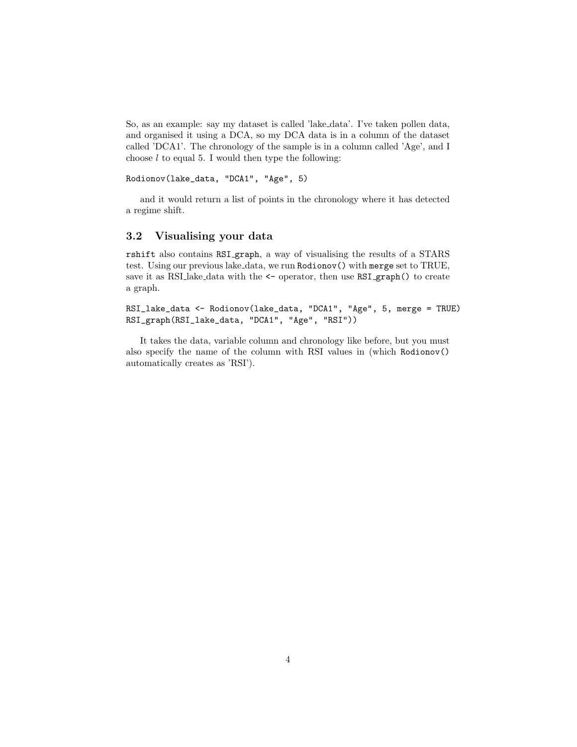So, as an example: say my dataset is called 'lake data'. I've taken pollen data, and organised it using a DCA, so my DCA data is in a column of the dataset called 'DCA1'. The chronology of the sample is in a column called 'Age', and I choose  $l$  to equal 5. I would then type the following:

Rodionov(lake\_data, "DCA1", "Age", 5)

and it would return a list of points in the chronology where it has detected a regime shift.

#### 3.2 Visualising your data

rshift also contains RSI graph, a way of visualising the results of a STARS test. Using our previous lake data, we run Rodionov() with merge set to TRUE, save it as RSI lake data with the  $\leq$  operator, then use RSI graph() to create a graph.

RSI\_lake\_data <- Rodionov(lake\_data, "DCA1", "Age", 5, merge = TRUE) RSI\_graph(RSI\_lake\_data, "DCA1", "Age", "RSI"))

It takes the data, variable column and chronology like before, but you must also specify the name of the column with RSI values in (which Rodionov() automatically creates as 'RSI').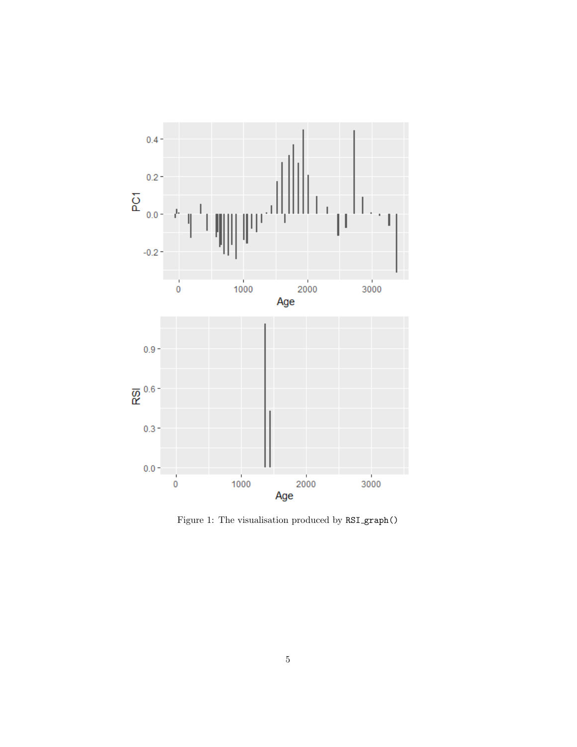

Figure 1: The visualisation produced by RSI graph()